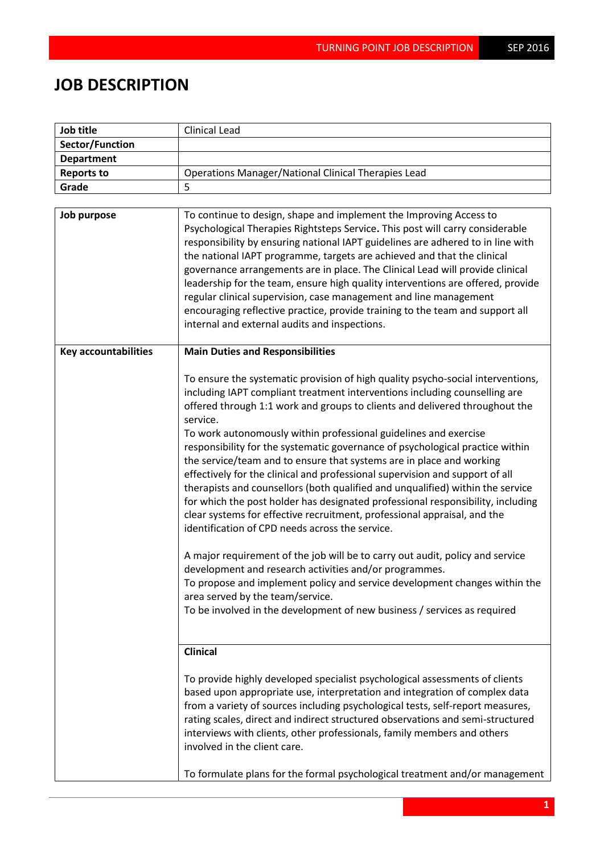## **JOB DESCRIPTION**

| Job title                   | <b>Clinical Lead</b>                                                                                                                                                                                                                                                                                                                                                                                                                                                                                                                                                                                                                                                                                                                                                                                                                                                                                                                                                                                                                                                                                                                                                                                               |  |
|-----------------------------|--------------------------------------------------------------------------------------------------------------------------------------------------------------------------------------------------------------------------------------------------------------------------------------------------------------------------------------------------------------------------------------------------------------------------------------------------------------------------------------------------------------------------------------------------------------------------------------------------------------------------------------------------------------------------------------------------------------------------------------------------------------------------------------------------------------------------------------------------------------------------------------------------------------------------------------------------------------------------------------------------------------------------------------------------------------------------------------------------------------------------------------------------------------------------------------------------------------------|--|
| Sector/Function             |                                                                                                                                                                                                                                                                                                                                                                                                                                                                                                                                                                                                                                                                                                                                                                                                                                                                                                                                                                                                                                                                                                                                                                                                                    |  |
| <b>Department</b>           |                                                                                                                                                                                                                                                                                                                                                                                                                                                                                                                                                                                                                                                                                                                                                                                                                                                                                                                                                                                                                                                                                                                                                                                                                    |  |
| <b>Reports to</b>           | <b>Operations Manager/National Clinical Therapies Lead</b>                                                                                                                                                                                                                                                                                                                                                                                                                                                                                                                                                                                                                                                                                                                                                                                                                                                                                                                                                                                                                                                                                                                                                         |  |
| Grade                       | 5                                                                                                                                                                                                                                                                                                                                                                                                                                                                                                                                                                                                                                                                                                                                                                                                                                                                                                                                                                                                                                                                                                                                                                                                                  |  |
|                             |                                                                                                                                                                                                                                                                                                                                                                                                                                                                                                                                                                                                                                                                                                                                                                                                                                                                                                                                                                                                                                                                                                                                                                                                                    |  |
| Job purpose                 | To continue to design, shape and implement the Improving Access to<br>Psychological Therapies Rightsteps Service. This post will carry considerable<br>responsibility by ensuring national IAPT guidelines are adhered to in line with<br>the national IAPT programme, targets are achieved and that the clinical<br>governance arrangements are in place. The Clinical Lead will provide clinical<br>leadership for the team, ensure high quality interventions are offered, provide<br>regular clinical supervision, case management and line management<br>encouraging reflective practice, provide training to the team and support all<br>internal and external audits and inspections.                                                                                                                                                                                                                                                                                                                                                                                                                                                                                                                       |  |
| <b>Key accountabilities</b> | <b>Main Duties and Responsibilities</b>                                                                                                                                                                                                                                                                                                                                                                                                                                                                                                                                                                                                                                                                                                                                                                                                                                                                                                                                                                                                                                                                                                                                                                            |  |
|                             | To ensure the systematic provision of high quality psycho-social interventions,<br>including IAPT compliant treatment interventions including counselling are<br>offered through 1:1 work and groups to clients and delivered throughout the<br>service.<br>To work autonomously within professional guidelines and exercise<br>responsibility for the systematic governance of psychological practice within<br>the service/team and to ensure that systems are in place and working<br>effectively for the clinical and professional supervision and support of all<br>therapists and counsellors (both qualified and unqualified) within the service<br>for which the post holder has designated professional responsibility, including<br>clear systems for effective recruitment, professional appraisal, and the<br>identification of CPD needs across the service.<br>A major requirement of the job will be to carry out audit, policy and service<br>development and research activities and/or programmes.<br>To propose and implement policy and service development changes within the<br>area served by the team/service.<br>To be involved in the development of new business / services as required |  |
|                             | <b>Clinical</b>                                                                                                                                                                                                                                                                                                                                                                                                                                                                                                                                                                                                                                                                                                                                                                                                                                                                                                                                                                                                                                                                                                                                                                                                    |  |
|                             | To provide highly developed specialist psychological assessments of clients<br>based upon appropriate use, interpretation and integration of complex data<br>from a variety of sources including psychological tests, self-report measures,<br>rating scales, direct and indirect structured observations and semi-structured<br>interviews with clients, other professionals, family members and others<br>involved in the client care.<br>To formulate plans for the formal psychological treatment and/or management                                                                                                                                                                                                                                                                                                                                                                                                                                                                                                                                                                                                                                                                                            |  |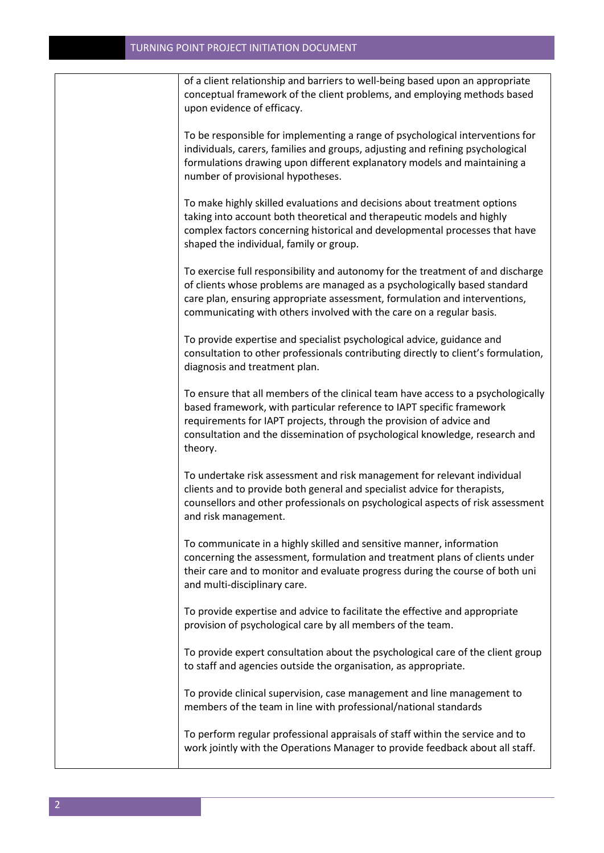of a client relationship and barriers to well-being based upon an appropriate conceptual framework of the client problems, and employing methods based upon evidence of efficacy.

To be responsible for implementing a range of psychological interventions for individuals, carers, families and groups, adjusting and refining psychological formulations drawing upon different explanatory models and maintaining a number of provisional hypotheses.

To make highly skilled evaluations and decisions about treatment options taking into account both theoretical and therapeutic models and highly complex factors concerning historical and developmental processes that have shaped the individual, family or group.

To exercise full responsibility and autonomy for the treatment of and discharge of clients whose problems are managed as a psychologically based standard care plan, ensuring appropriate assessment, formulation and interventions, communicating with others involved with the care on a regular basis.

To provide expertise and specialist psychological advice, guidance and consultation to other professionals contributing directly to client's formulation, diagnosis and treatment plan.

To ensure that all members of the clinical team have access to a psychologically based framework, with particular reference to IAPT specific framework requirements for IAPT projects, through the provision of advice and consultation and the dissemination of psychological knowledge, research and theory.

To undertake risk assessment and risk management for relevant individual clients and to provide both general and specialist advice for therapists, counsellors and other professionals on psychological aspects of risk assessment and risk management.

To communicate in a highly skilled and sensitive manner, information concerning the assessment, formulation and treatment plans of clients under their care and to monitor and evaluate progress during the course of both uni and multi-disciplinary care.

To provide expertise and advice to facilitate the effective and appropriate provision of psychological care by all members of the team.

To provide expert consultation about the psychological care of the client group to staff and agencies outside the organisation, as appropriate.

To provide clinical supervision, case management and line management to members of the team in line with professional/national standards

To perform regular professional appraisals of staff within the service and to work jointly with the Operations Manager to provide feedback about all staff.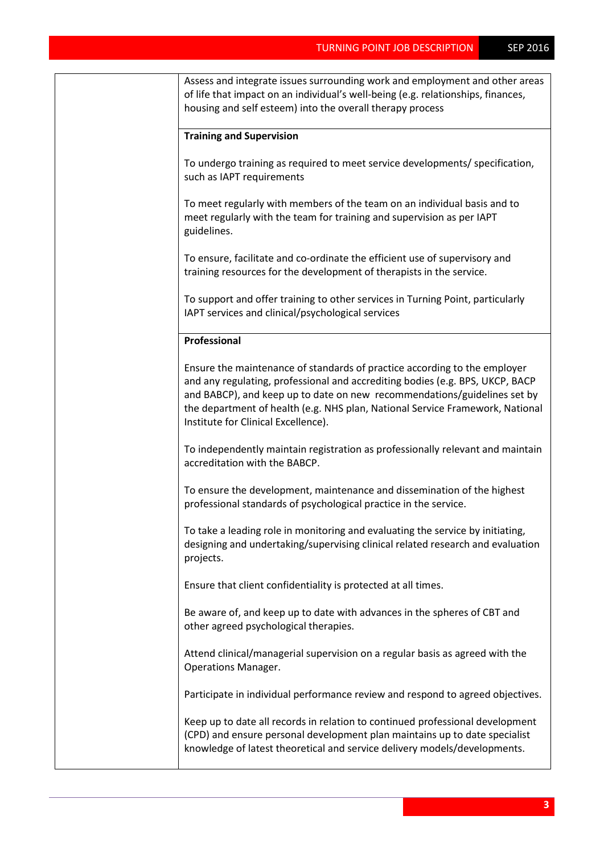| Assess and integrate issues surrounding work and employment and other areas<br>of life that impact on an individual's well-being (e.g. relationships, finances,<br>housing and self esteem) into the overall therapy process                                                                                                                                   |
|----------------------------------------------------------------------------------------------------------------------------------------------------------------------------------------------------------------------------------------------------------------------------------------------------------------------------------------------------------------|
| <b>Training and Supervision</b>                                                                                                                                                                                                                                                                                                                                |
| To undergo training as required to meet service developments/ specification,<br>such as IAPT requirements                                                                                                                                                                                                                                                      |
| To meet regularly with members of the team on an individual basis and to<br>meet regularly with the team for training and supervision as per IAPT<br>guidelines.                                                                                                                                                                                               |
| To ensure, facilitate and co-ordinate the efficient use of supervisory and<br>training resources for the development of therapists in the service.                                                                                                                                                                                                             |
| To support and offer training to other services in Turning Point, particularly<br>IAPT services and clinical/psychological services                                                                                                                                                                                                                            |
| Professional                                                                                                                                                                                                                                                                                                                                                   |
| Ensure the maintenance of standards of practice according to the employer<br>and any regulating, professional and accrediting bodies (e.g. BPS, UKCP, BACP<br>and BABCP), and keep up to date on new recommendations/guidelines set by<br>the department of health (e.g. NHS plan, National Service Framework, National<br>Institute for Clinical Excellence). |
| To independently maintain registration as professionally relevant and maintain<br>accreditation with the BABCP.                                                                                                                                                                                                                                                |
| To ensure the development, maintenance and dissemination of the highest<br>professional standards of psychological practice in the service.                                                                                                                                                                                                                    |
| To take a leading role in monitoring and evaluating the service by initiating,<br>designing and undertaking/supervising clinical related research and evaluation<br>projects.                                                                                                                                                                                  |
| Ensure that client confidentiality is protected at all times.                                                                                                                                                                                                                                                                                                  |
| Be aware of, and keep up to date with advances in the spheres of CBT and<br>other agreed psychological therapies.                                                                                                                                                                                                                                              |
| Attend clinical/managerial supervision on a regular basis as agreed with the<br>Operations Manager.                                                                                                                                                                                                                                                            |
| Participate in individual performance review and respond to agreed objectives.                                                                                                                                                                                                                                                                                 |
| Keep up to date all records in relation to continued professional development<br>(CPD) and ensure personal development plan maintains up to date specialist<br>knowledge of latest theoretical and service delivery models/developments.                                                                                                                       |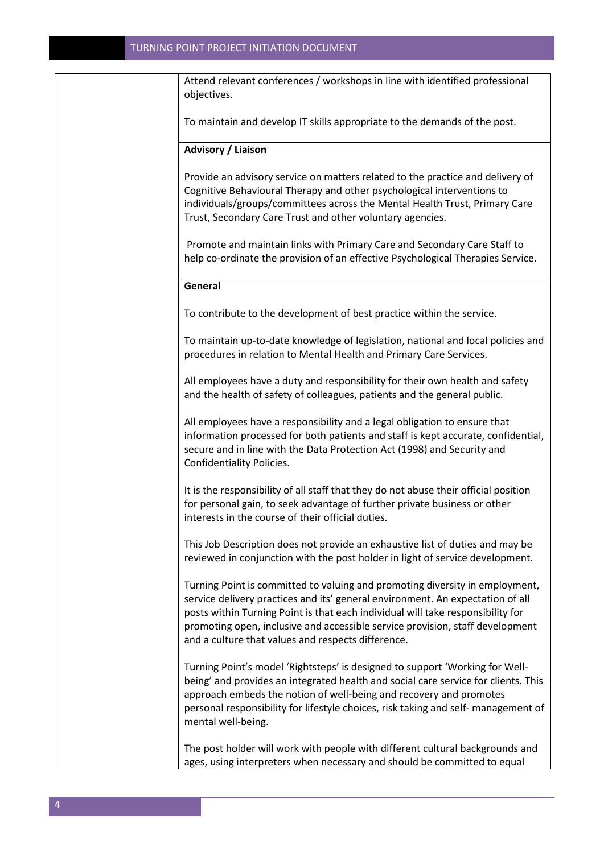Attend relevant conferences / workshops in line with identified professional objectives. To maintain and develop IT skills appropriate to the demands of the post. **Advisory / Liaison** Provide an advisory service on matters related to the practice and delivery of Cognitive Behavioural Therapy and other psychological interventions to individuals/groups/committees across the Mental Health Trust, Primary Care Trust, Secondary Care Trust and other voluntary agencies. Promote and maintain links with Primary Care and Secondary Care Staff to help co-ordinate the provision of an effective Psychological Therapies Service. **General** To contribute to the development of best practice within the service. To maintain up-to-date knowledge of legislation, national and local policies and procedures in relation to Mental Health and Primary Care Services. All employees have a duty and responsibility for their own health and safety and the health of safety of colleagues, patients and the general public. All employees have a responsibility and a legal obligation to ensure that information processed for both patients and staff is kept accurate, confidential, secure and in line with the Data Protection Act (1998) and Security and Confidentiality Policies. It is the responsibility of all staff that they do not abuse their official position for personal gain, to seek advantage of further private business or other interests in the course of their official duties. This Job Description does not provide an exhaustive list of duties and may be reviewed in conjunction with the post holder in light of service development. Turning Point is committed to valuing and promoting diversity in employment, service delivery practices and its' general environment. An expectation of all posts within Turning Point is that each individual will take responsibility for promoting open, inclusive and accessible service provision, staff development and a culture that values and respects difference. Turning Point's model 'Rightsteps' is designed to support 'Working for Wellbeing' and provides an integrated health and social care service for clients. This approach embeds the notion of well-being and recovery and promotes personal responsibility for lifestyle choices, risk taking and self- management of mental well-being. The post holder will work with people with different cultural backgrounds and

ages, using interpreters when necessary and should be committed to equal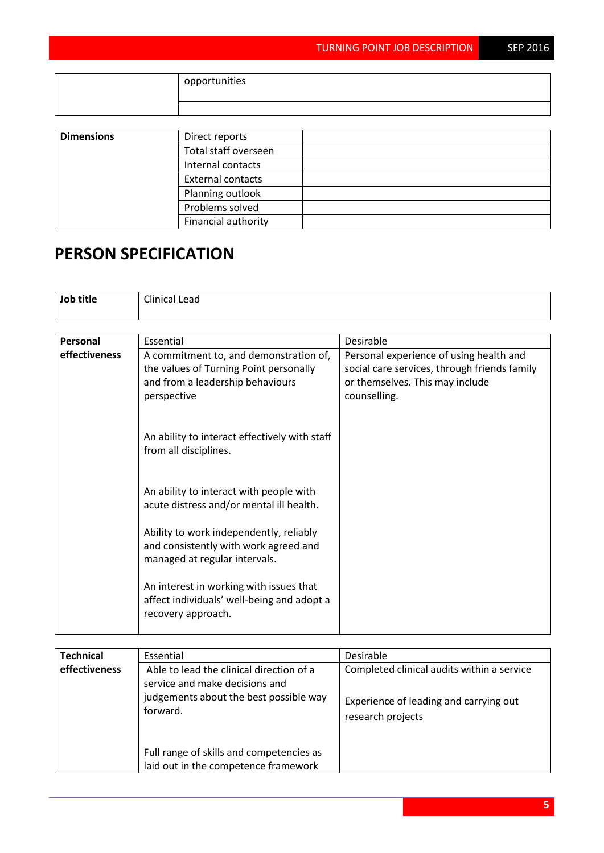|                   | opportunities            |  |  |
|-------------------|--------------------------|--|--|
|                   |                          |  |  |
|                   |                          |  |  |
| <b>Dimensions</b> | Direct reports           |  |  |
|                   | Total staff overseen     |  |  |
|                   | Internal contacts        |  |  |
|                   | <b>External contacts</b> |  |  |
|                   | Planning outlook         |  |  |
|                   | Problems solved          |  |  |
|                   | Financial authority      |  |  |

## **PERSON SPECIFICATION**

| Job title     | <b>Clinical Lead</b>                                                                                                                |                                                                                                                                            |
|---------------|-------------------------------------------------------------------------------------------------------------------------------------|--------------------------------------------------------------------------------------------------------------------------------------------|
|               |                                                                                                                                     |                                                                                                                                            |
| Personal      | Essential                                                                                                                           | <b>Desirable</b>                                                                                                                           |
| effectiveness | A commitment to, and demonstration of,<br>the values of Turning Point personally<br>and from a leadership behaviours<br>perspective | Personal experience of using health and<br>social care services, through friends family<br>or themselves. This may include<br>counselling. |
|               | An ability to interact effectively with staff<br>from all disciplines.                                                              |                                                                                                                                            |
|               | An ability to interact with people with<br>acute distress and/or mental ill health.                                                 |                                                                                                                                            |
|               | Ability to work independently, reliably<br>and consistently with work agreed and<br>managed at regular intervals.                   |                                                                                                                                            |
|               | An interest in working with issues that<br>affect individuals' well-being and adopt a<br>recovery approach.                         |                                                                                                                                            |

| <b>Technical</b> | Essential                                                                                                                        | Desirable                                                                                                 |
|------------------|----------------------------------------------------------------------------------------------------------------------------------|-----------------------------------------------------------------------------------------------------------|
| effectiveness    | Able to lead the clinical direction of a<br>service and make decisions and<br>judgements about the best possible way<br>forward. | Completed clinical audits within a service<br>Experience of leading and carrying out<br>research projects |
|                  | Full range of skills and competencies as<br>laid out in the competence framework                                                 |                                                                                                           |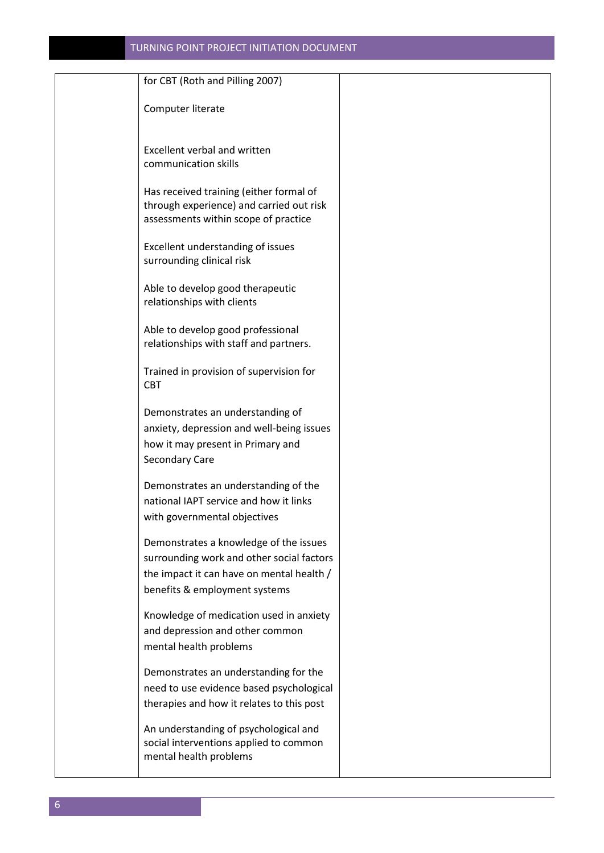| for CBT (Roth and Pilling 2007)                                                  |  |
|----------------------------------------------------------------------------------|--|
| Computer literate                                                                |  |
|                                                                                  |  |
| <b>Excellent verbal and written</b><br>communication skills                      |  |
|                                                                                  |  |
| Has received training (either formal of                                          |  |
| through experience) and carried out risk<br>assessments within scope of practice |  |
| Excellent understanding of issues                                                |  |
| surrounding clinical risk                                                        |  |
| Able to develop good therapeutic                                                 |  |
| relationships with clients                                                       |  |
| Able to develop good professional                                                |  |
| relationships with staff and partners.                                           |  |
| Trained in provision of supervision for                                          |  |
| <b>CBT</b>                                                                       |  |
| Demonstrates an understanding of                                                 |  |
| anxiety, depression and well-being issues                                        |  |
| how it may present in Primary and                                                |  |
| Secondary Care                                                                   |  |
| Demonstrates an understanding of the                                             |  |
| national IAPT service and how it links                                           |  |
| with governmental objectives                                                     |  |
| Demonstrates a knowledge of the issues                                           |  |
| surrounding work and other social factors                                        |  |
| the impact it can have on mental health /                                        |  |
| benefits & employment systems                                                    |  |
| Knowledge of medication used in anxiety                                          |  |
| and depression and other common                                                  |  |
| mental health problems                                                           |  |
| Demonstrates an understanding for the                                            |  |
| need to use evidence based psychological                                         |  |
| therapies and how it relates to this post                                        |  |
| An understanding of psychological and                                            |  |
| social interventions applied to common                                           |  |
| mental health problems                                                           |  |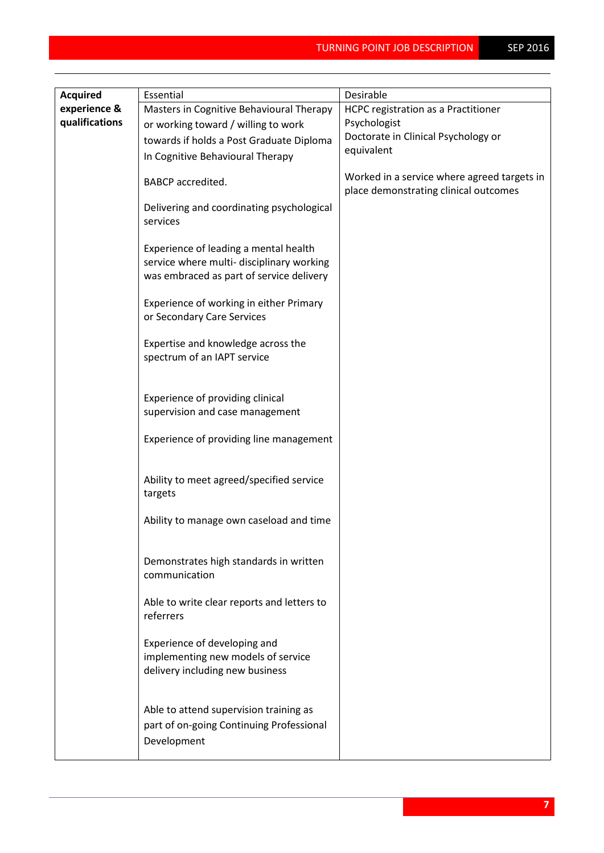| <b>Acquired</b> | Essential                                                                                                                      | Desirable                                                                            |
|-----------------|--------------------------------------------------------------------------------------------------------------------------------|--------------------------------------------------------------------------------------|
| experience &    | Masters in Cognitive Behavioural Therapy                                                                                       | HCPC registration as a Practitioner                                                  |
| qualifications  | or working toward / willing to work                                                                                            | Psychologist                                                                         |
|                 | towards if holds a Post Graduate Diploma                                                                                       | Doctorate in Clinical Psychology or                                                  |
|                 |                                                                                                                                | equivalent                                                                           |
|                 | In Cognitive Behavioural Therapy                                                                                               |                                                                                      |
|                 | <b>BABCP</b> accredited.                                                                                                       | Worked in a service where agreed targets in<br>place demonstrating clinical outcomes |
|                 | Delivering and coordinating psychological<br>services                                                                          |                                                                                      |
|                 | Experience of leading a mental health<br>service where multi- disciplinary working<br>was embraced as part of service delivery |                                                                                      |
|                 | Experience of working in either Primary<br>or Secondary Care Services                                                          |                                                                                      |
|                 | Expertise and knowledge across the<br>spectrum of an IAPT service                                                              |                                                                                      |
|                 | Experience of providing clinical<br>supervision and case management                                                            |                                                                                      |
|                 | Experience of providing line management                                                                                        |                                                                                      |
|                 | Ability to meet agreed/specified service<br>targets                                                                            |                                                                                      |
|                 | Ability to manage own caseload and time                                                                                        |                                                                                      |
|                 | Demonstrates high standards in written<br>communication                                                                        |                                                                                      |
|                 | Able to write clear reports and letters to<br>referrers                                                                        |                                                                                      |
|                 | Experience of developing and<br>implementing new models of service<br>delivery including new business                          |                                                                                      |
|                 | Able to attend supervision training as<br>part of on-going Continuing Professional<br>Development                              |                                                                                      |